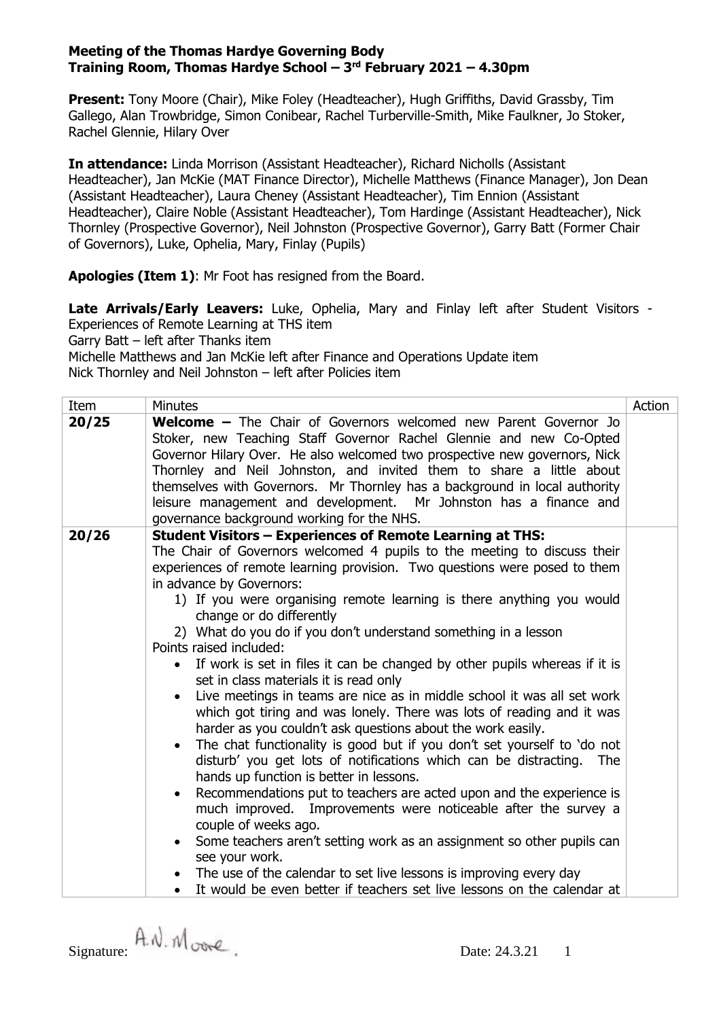**Present:** Tony Moore (Chair), Mike Foley (Headteacher), Hugh Griffiths, David Grassby, Tim Gallego, Alan Trowbridge, Simon Conibear, Rachel Turberville-Smith, Mike Faulkner, Jo Stoker, Rachel Glennie, Hilary Over

**In attendance:** Linda Morrison (Assistant Headteacher), Richard Nicholls (Assistant Headteacher), Jan McKie (MAT Finance Director), Michelle Matthews (Finance Manager), Jon Dean (Assistant Headteacher), Laura Cheney (Assistant Headteacher), Tim Ennion (Assistant Headteacher), Claire Noble (Assistant Headteacher), Tom Hardinge (Assistant Headteacher), Nick Thornley (Prospective Governor), Neil Johnston (Prospective Governor), Garry Batt (Former Chair of Governors), Luke, Ophelia, Mary, Finlay (Pupils)

**Apologies (Item 1)**: Mr Foot has resigned from the Board.

**Late Arrivals/Early Leavers:** Luke, Ophelia, Mary and Finlay left after Student Visitors - Experiences of Remote Learning at THS item

Garry Batt – left after Thanks item

Michelle Matthews and Jan McKie left after Finance and Operations Update item Nick Thornley and Neil Johnston – left after Policies item

| Item  | Minutes                                                                                                                                                                                                                                                                                                                                                                                                                                                                                                                                                                                                                                                                                                                                                                                                                                                                                                                                                                                                                                                                                                                                                                                                                                                                                                                                                                                                                         | Action |
|-------|---------------------------------------------------------------------------------------------------------------------------------------------------------------------------------------------------------------------------------------------------------------------------------------------------------------------------------------------------------------------------------------------------------------------------------------------------------------------------------------------------------------------------------------------------------------------------------------------------------------------------------------------------------------------------------------------------------------------------------------------------------------------------------------------------------------------------------------------------------------------------------------------------------------------------------------------------------------------------------------------------------------------------------------------------------------------------------------------------------------------------------------------------------------------------------------------------------------------------------------------------------------------------------------------------------------------------------------------------------------------------------------------------------------------------------|--------|
| 20/25 | <b>Welcome -</b> The Chair of Governors welcomed new Parent Governor Jo<br>Stoker, new Teaching Staff Governor Rachel Glennie and new Co-Opted<br>Governor Hilary Over. He also welcomed two prospective new governors, Nick<br>Thornley and Neil Johnston, and invited them to share a little about<br>themselves with Governors. Mr Thornley has a background in local authority<br>leisure management and development. Mr Johnston has a finance and<br>governance background working for the NHS.                                                                                                                                                                                                                                                                                                                                                                                                                                                                                                                                                                                                                                                                                                                                                                                                                                                                                                                           |        |
| 20/26 | <b>Student Visitors - Experiences of Remote Learning at THS:</b><br>The Chair of Governors welcomed 4 pupils to the meeting to discuss their<br>experiences of remote learning provision. Two questions were posed to them<br>in advance by Governors:<br>1) If you were organising remote learning is there anything you would<br>change or do differently<br>2) What do you do if you don't understand something in a lesson<br>Points raised included:<br>• If work is set in files it can be changed by other pupils whereas if it is<br>set in class materials it is read only<br>Live meetings in teams are nice as in middle school it was all set work<br>which got tiring and was lonely. There was lots of reading and it was<br>harder as you couldn't ask questions about the work easily.<br>The chat functionality is good but if you don't set yourself to 'do not<br>disturb' you get lots of notifications which can be distracting.<br><b>The</b><br>hands up function is better in lessons.<br>Recommendations put to teachers are acted upon and the experience is<br>much improved. Improvements were noticeable after the survey a<br>couple of weeks ago.<br>• Some teachers aren't setting work as an assignment so other pupils can<br>see your work.<br>The use of the calendar to set live lessons is improving every day<br>It would be even better if teachers set live lessons on the calendar at |        |

Signature:  $A \wedge M$  ove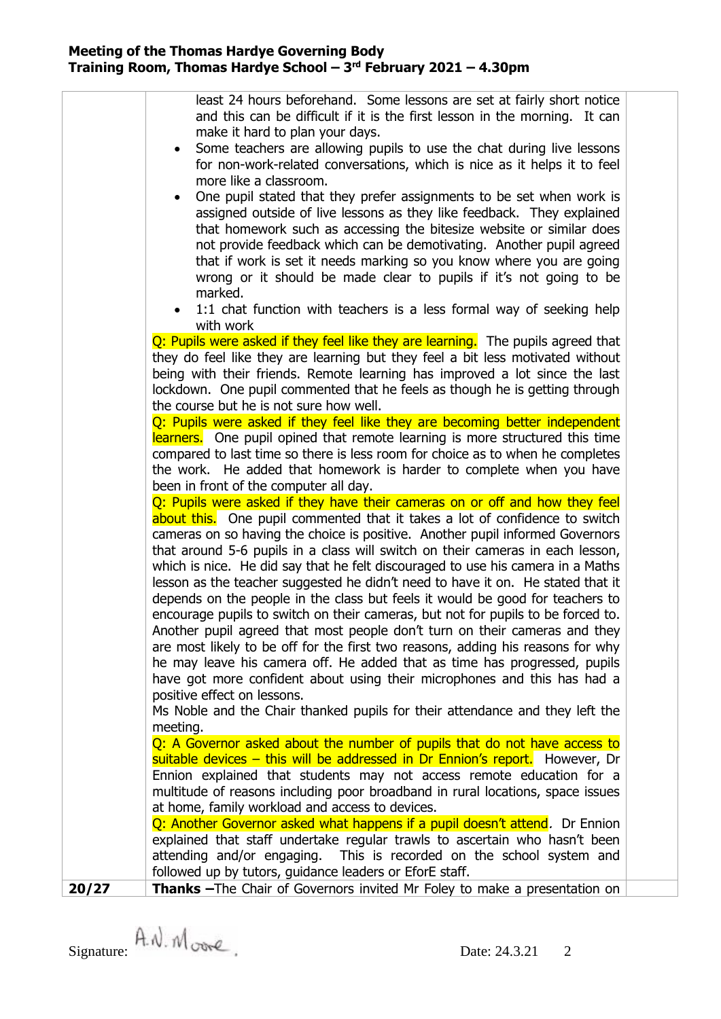|       | least 24 hours beforehand. Some lessons are set at fairly short notice                                                                                     |  |
|-------|------------------------------------------------------------------------------------------------------------------------------------------------------------|--|
|       | and this can be difficult if it is the first lesson in the morning. It can                                                                                 |  |
|       | make it hard to plan your days.                                                                                                                            |  |
|       | Some teachers are allowing pupils to use the chat during live lessons                                                                                      |  |
|       | for non-work-related conversations, which is nice as it helps it to feel                                                                                   |  |
|       | more like a classroom.                                                                                                                                     |  |
|       | One pupil stated that they prefer assignments to be set when work is<br>$\bullet$                                                                          |  |
|       | assigned outside of live lessons as they like feedback. They explained                                                                                     |  |
|       | that homework such as accessing the bitesize website or similar does                                                                                       |  |
|       | not provide feedback which can be demotivating. Another pupil agreed                                                                                       |  |
|       | that if work is set it needs marking so you know where you are going                                                                                       |  |
|       | wrong or it should be made clear to pupils if it's not going to be                                                                                         |  |
|       | marked.                                                                                                                                                    |  |
|       | 1:1 chat function with teachers is a less formal way of seeking help<br>with work                                                                          |  |
|       | Q: Pupils were asked if they feel like they are learning. The pupils agreed that                                                                           |  |
|       | they do feel like they are learning but they feel a bit less motivated without                                                                             |  |
|       | being with their friends. Remote learning has improved a lot since the last                                                                                |  |
|       | lockdown. One pupil commented that he feels as though he is getting through                                                                                |  |
|       | the course but he is not sure how well.                                                                                                                    |  |
|       | Q: Pupils were asked if they feel like they are becoming better independent                                                                                |  |
|       | learners. One pupil opined that remote learning is more structured this time                                                                               |  |
|       | compared to last time so there is less room for choice as to when he completes                                                                             |  |
|       | the work. He added that homework is harder to complete when you have                                                                                       |  |
|       | been in front of the computer all day.                                                                                                                     |  |
|       | Q: Pupils were asked if they have their cameras on or off and how they feel<br>about this. One pupil commented that it takes a lot of confidence to switch |  |
|       | cameras on so having the choice is positive. Another pupil informed Governors                                                                              |  |
|       | that around 5-6 pupils in a class will switch on their cameras in each lesson,                                                                             |  |
|       | which is nice. He did say that he felt discouraged to use his camera in a Maths                                                                            |  |
|       | lesson as the teacher suggested he didn't need to have it on. He stated that it                                                                            |  |
|       | depends on the people in the class but feels it would be good for teachers to                                                                              |  |
|       | encourage pupils to switch on their cameras, but not for pupils to be forced to.                                                                           |  |
|       | Another pupil agreed that most people don't turn on their cameras and they                                                                                 |  |
|       | are most likely to be off for the first two reasons, adding his reasons for why                                                                            |  |
|       | he may leave his camera off. He added that as time has progressed, pupils                                                                                  |  |
|       | have got more confident about using their microphones and this has had a                                                                                   |  |
|       | positive effect on lessons.                                                                                                                                |  |
|       | Ms Noble and the Chair thanked pupils for their attendance and they left the                                                                               |  |
|       | meeting.                                                                                                                                                   |  |
|       | Q: A Governor asked about the number of pupils that do not have access to                                                                                  |  |
|       | suitable devices – this will be addressed in Dr Ennion's report. However, Dr<br>Ennion explained that students may not access remote education for a       |  |
|       | multitude of reasons including poor broadband in rural locations, space issues                                                                             |  |
|       | at home, family workload and access to devices.                                                                                                            |  |
|       | Q: Another Governor asked what happens if a pupil doesn't attend. Dr Ennion                                                                                |  |
|       | explained that staff undertake regular trawls to ascertain who hasn't been                                                                                 |  |
|       | attending and/or engaging. This is recorded on the school system and                                                                                       |  |
|       | followed up by tutors, guidance leaders or EforE staff.                                                                                                    |  |
| 20/27 | Thanks - The Chair of Governors invited Mr Foley to make a presentation on                                                                                 |  |
|       |                                                                                                                                                            |  |

Signature:  $\hat{A}$ .  $\hat{M}$  over  $\hat{C}$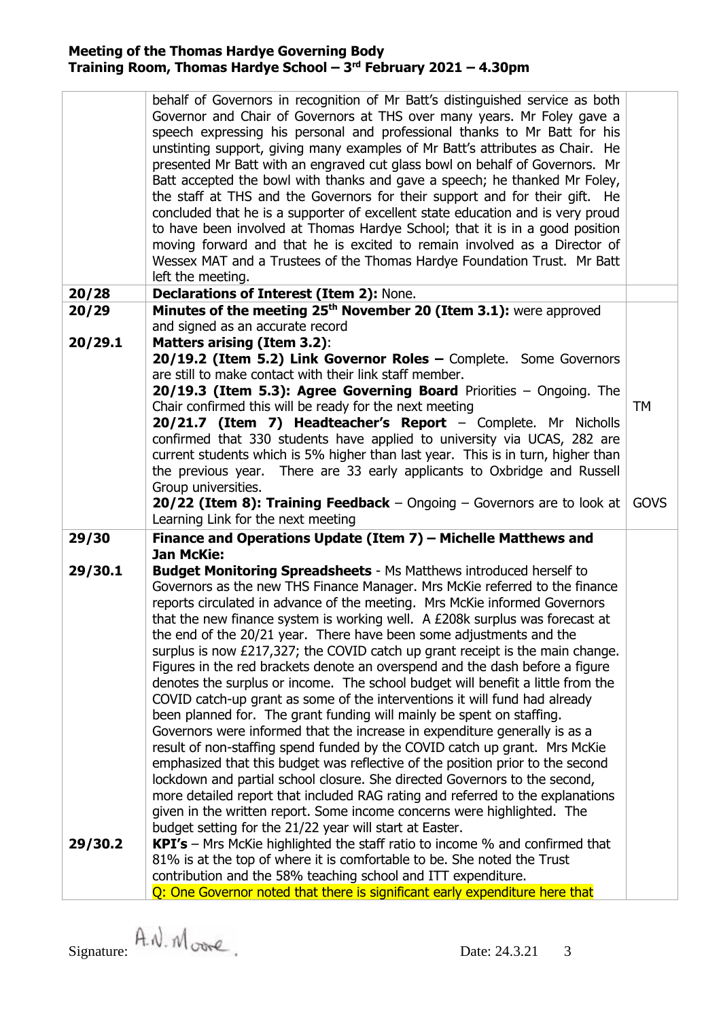|                    | behalf of Governors in recognition of Mr Batt's distinguished service as both<br>Governor and Chair of Governors at THS over many years. Mr Foley gave a<br>speech expressing his personal and professional thanks to Mr Batt for his<br>unstinting support, giving many examples of Mr Batt's attributes as Chair. He<br>presented Mr Batt with an engraved cut glass bowl on behalf of Governors. Mr<br>Batt accepted the bowl with thanks and gave a speech; he thanked Mr Foley,<br>the staff at THS and the Governors for their support and for their gift. He<br>concluded that he is a supporter of excellent state education and is very proud<br>to have been involved at Thomas Hardye School; that it is in a good position<br>moving forward and that he is excited to remain involved as a Director of<br>Wessex MAT and a Trustees of the Thomas Hardye Foundation Trust. Mr Batt<br>left the meeting.                                                                                                                                                                                                                                                                                                                                                                                                                                                                                                                                                       |             |
|--------------------|----------------------------------------------------------------------------------------------------------------------------------------------------------------------------------------------------------------------------------------------------------------------------------------------------------------------------------------------------------------------------------------------------------------------------------------------------------------------------------------------------------------------------------------------------------------------------------------------------------------------------------------------------------------------------------------------------------------------------------------------------------------------------------------------------------------------------------------------------------------------------------------------------------------------------------------------------------------------------------------------------------------------------------------------------------------------------------------------------------------------------------------------------------------------------------------------------------------------------------------------------------------------------------------------------------------------------------------------------------------------------------------------------------------------------------------------------------------------------|-------------|
| 20/28              | Declarations of Interest (Item 2): None.                                                                                                                                                                                                                                                                                                                                                                                                                                                                                                                                                                                                                                                                                                                                                                                                                                                                                                                                                                                                                                                                                                                                                                                                                                                                                                                                                                                                                                   |             |
| 20/29<br>20/29.1   | Minutes of the meeting 25 <sup>th</sup> November 20 (Item 3.1): were approved<br>and signed as an accurate record<br><b>Matters arising (Item 3.2):</b>                                                                                                                                                                                                                                                                                                                                                                                                                                                                                                                                                                                                                                                                                                                                                                                                                                                                                                                                                                                                                                                                                                                                                                                                                                                                                                                    |             |
|                    | 20/19.2 (Item 5.2) Link Governor Roles - Complete. Some Governors<br>are still to make contact with their link staff member.<br><b>20/19.3 (Item 5.3): Agree Governing Board Priorities - Ongoing. The</b><br>Chair confirmed this will be ready for the next meeting<br>20/21.7 (Item 7) Headteacher's Report - Complete. Mr Nicholls<br>confirmed that 330 students have applied to university via UCAS, 282 are<br>current students which is 5% higher than last year. This is in turn, higher than<br>There are 33 early applicants to Oxbridge and Russell<br>the previous year.                                                                                                                                                                                                                                                                                                                                                                                                                                                                                                                                                                                                                                                                                                                                                                                                                                                                                      | <b>TM</b>   |
|                    | Group universities.<br><b>20/22 (Item 8): Training Feedback</b> $-$ Ongoing $-$ Governors are to look at<br>Learning Link for the next meeting                                                                                                                                                                                                                                                                                                                                                                                                                                                                                                                                                                                                                                                                                                                                                                                                                                                                                                                                                                                                                                                                                                                                                                                                                                                                                                                             | <b>GOVS</b> |
| 29/30              | Finance and Operations Update (Item 7) - Michelle Matthews and                                                                                                                                                                                                                                                                                                                                                                                                                                                                                                                                                                                                                                                                                                                                                                                                                                                                                                                                                                                                                                                                                                                                                                                                                                                                                                                                                                                                             |             |
| 29/30.1<br>29/30.2 | <b>Jan McKie:</b><br><b>Budget Monitoring Spreadsheets - Ms Matthews introduced herself to</b><br>Governors as the new THS Finance Manager. Mrs McKie referred to the finance<br>reports circulated in advance of the meeting. Mrs McKie informed Governors<br>that the new finance system is working well. A £208k surplus was forecast at<br>the end of the 20/21 year. There have been some adjustments and the<br>surplus is now £217,327; the COVID catch up grant receipt is the main change.<br>Figures in the red brackets denote an overspend and the dash before a figure<br>denotes the surplus or income. The school budget will benefit a little from the<br>COVID catch-up grant as some of the interventions it will fund had already<br>been planned for. The grant funding will mainly be spent on staffing.<br>Governors were informed that the increase in expenditure generally is as a<br>result of non-staffing spend funded by the COVID catch up grant. Mrs McKie<br>emphasized that this budget was reflective of the position prior to the second<br>lockdown and partial school closure. She directed Governors to the second,<br>more detailed report that included RAG rating and referred to the explanations<br>given in the written report. Some income concerns were highlighted. The<br>budget setting for the 21/22 year will start at Easter.<br><b>KPI's</b> – Mrs McKie highlighted the staff ratio to income $%$ and confirmed that |             |
|                    | 81% is at the top of where it is comfortable to be. She noted the Trust<br>contribution and the 58% teaching school and ITT expenditure.<br>Q: One Governor noted that there is significant early expenditure here that                                                                                                                                                                                                                                                                                                                                                                                                                                                                                                                                                                                                                                                                                                                                                                                                                                                                                                                                                                                                                                                                                                                                                                                                                                                    |             |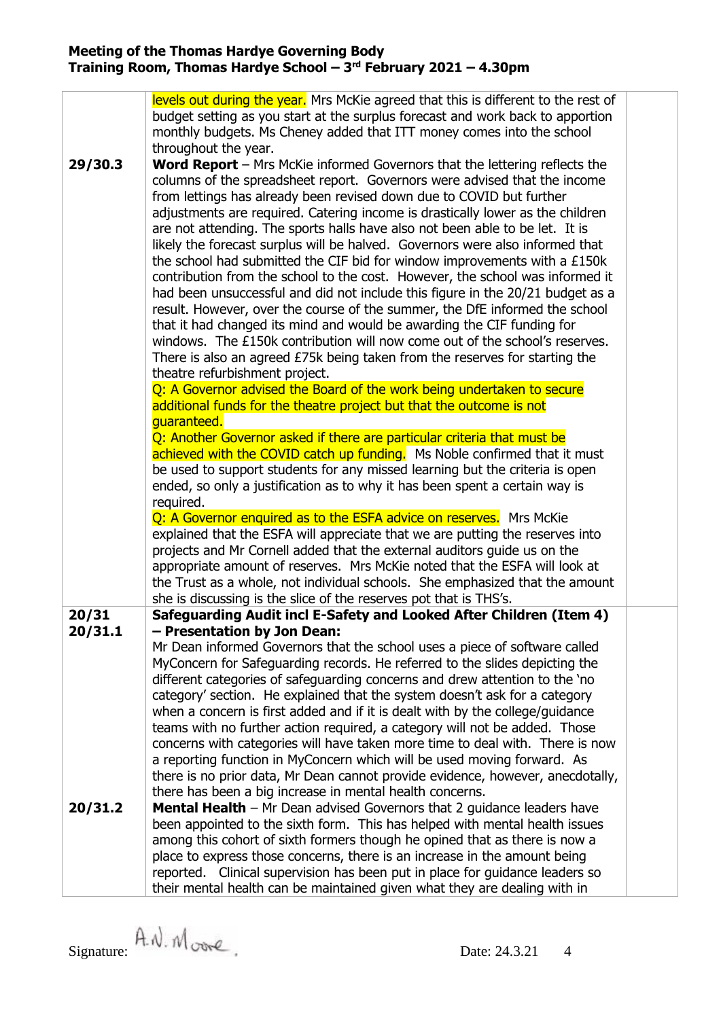| 29/30.3          | levels out during the year. Mrs McKie agreed that this is different to the rest of<br>budget setting as you start at the surplus forecast and work back to apportion<br>monthly budgets. Ms Cheney added that ITT money comes into the school<br>throughout the year.<br><b>Word Report</b> $-$ Mrs McKie informed Governors that the lettering reflects the<br>columns of the spreadsheet report. Governors were advised that the income<br>from lettings has already been revised down due to COVID but further<br>adjustments are required. Catering income is drastically lower as the children<br>are not attending. The sports halls have also not been able to be let. It is<br>likely the forecast surplus will be halved. Governors were also informed that<br>the school had submitted the CIF bid for window improvements with a £150k<br>contribution from the school to the cost. However, the school was informed it<br>had been unsuccessful and did not include this figure in the 20/21 budget as a<br>result. However, over the course of the summer, the DfE informed the school<br>that it had changed its mind and would be awarding the CIF funding for<br>windows. The £150k contribution will now come out of the school's reserves.<br>There is also an agreed £75k being taken from the reserves for starting the<br>theatre refurbishment project. |  |
|------------------|-------------------------------------------------------------------------------------------------------------------------------------------------------------------------------------------------------------------------------------------------------------------------------------------------------------------------------------------------------------------------------------------------------------------------------------------------------------------------------------------------------------------------------------------------------------------------------------------------------------------------------------------------------------------------------------------------------------------------------------------------------------------------------------------------------------------------------------------------------------------------------------------------------------------------------------------------------------------------------------------------------------------------------------------------------------------------------------------------------------------------------------------------------------------------------------------------------------------------------------------------------------------------------------------------------------------------------------------------------------------------------|--|
|                  | Q: A Governor advised the Board of the work being undertaken to secure<br>additional funds for the theatre project but that the outcome is not<br>guaranteed.<br>Q: Another Governor asked if there are particular criteria that must be<br>achieved with the COVID catch up funding. Ms Noble confirmed that it must<br>be used to support students for any missed learning but the criteria is open                                                                                                                                                                                                                                                                                                                                                                                                                                                                                                                                                                                                                                                                                                                                                                                                                                                                                                                                                                         |  |
|                  | ended, so only a justification as to why it has been spent a certain way is<br>required.<br>Q: A Governor enquired as to the ESFA advice on reserves. Mrs McKie<br>explained that the ESFA will appreciate that we are putting the reserves into<br>projects and Mr Cornell added that the external auditors guide us on the<br>appropriate amount of reserves. Mrs McKie noted that the ESFA will look at<br>the Trust as a whole, not individual schools. She emphasized that the amount<br>she is discussing is the slice of the reserves pot that is THS's.                                                                                                                                                                                                                                                                                                                                                                                                                                                                                                                                                                                                                                                                                                                                                                                                               |  |
| 20/31<br>20/31.1 | Safeguarding Audit incl E-Safety and Looked After Children (Item 4)<br>- Presentation by Jon Dean:<br>Mr Dean informed Governors that the school uses a piece of software called<br>MyConcern for Safeguarding records. He referred to the slides depicting the<br>different categories of safeguarding concerns and drew attention to the 'no<br>category' section. He explained that the system doesn't ask for a category<br>when a concern is first added and if it is dealt with by the college/guidance<br>teams with no further action required, a category will not be added. Those<br>concerns with categories will have taken more time to deal with. There is now<br>a reporting function in MyConcern which will be used moving forward. As<br>there is no prior data, Mr Dean cannot provide evidence, however, anecdotally,<br>there has been a big increase in mental health concerns.                                                                                                                                                                                                                                                                                                                                                                                                                                                                         |  |
| 20/31.2          | <b>Mental Health</b> – Mr Dean advised Governors that 2 guidance leaders have<br>been appointed to the sixth form. This has helped with mental health issues<br>among this cohort of sixth formers though he opined that as there is now a<br>place to express those concerns, there is an increase in the amount being<br>reported. Clinical supervision has been put in place for guidance leaders so<br>their mental health can be maintained given what they are dealing with in                                                                                                                                                                                                                                                                                                                                                                                                                                                                                                                                                                                                                                                                                                                                                                                                                                                                                          |  |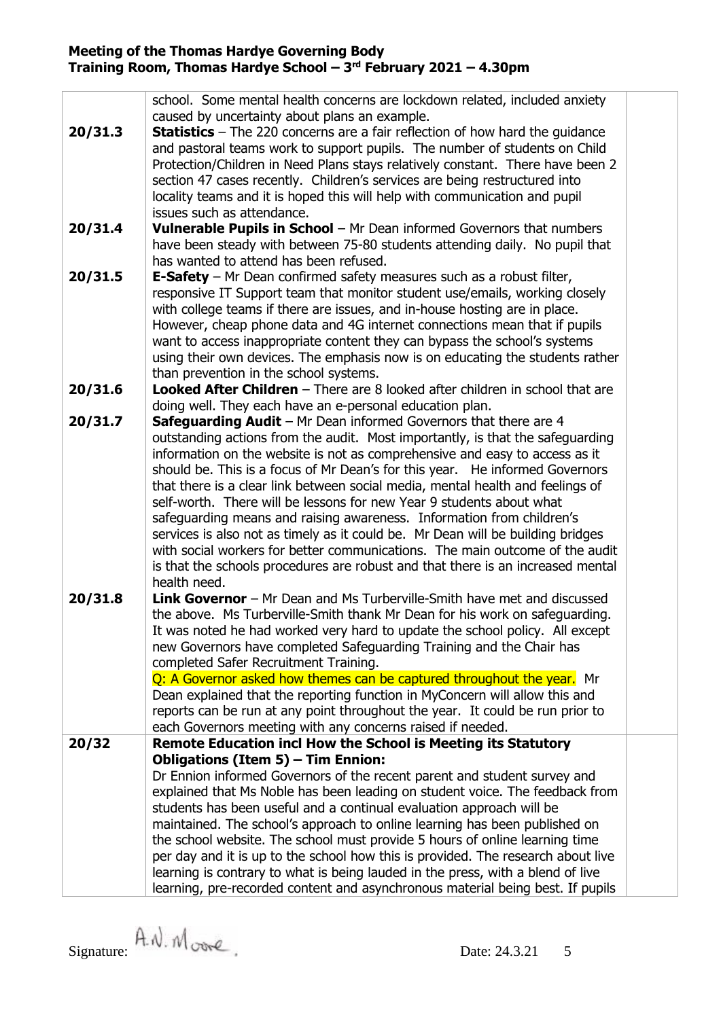|         | school. Some mental health concerns are lockdown related, included anxiety          |  |  |  |  |  |
|---------|-------------------------------------------------------------------------------------|--|--|--|--|--|
|         | caused by uncertainty about plans an example.                                       |  |  |  |  |  |
| 20/31.3 | <b>Statistics</b> – The 220 concerns are a fair reflection of how hard the guidance |  |  |  |  |  |
|         | and pastoral teams work to support pupils. The number of students on Child          |  |  |  |  |  |
|         | Protection/Children in Need Plans stays relatively constant. There have been 2      |  |  |  |  |  |
|         | section 47 cases recently. Children's services are being restructured into          |  |  |  |  |  |
|         | locality teams and it is hoped this will help with communication and pupil          |  |  |  |  |  |
|         | issues such as attendance.                                                          |  |  |  |  |  |
| 20/31.4 | <b>Vulnerable Pupils in School</b> – Mr Dean informed Governors that numbers        |  |  |  |  |  |
|         | have been steady with between 75-80 students attending daily. No pupil that         |  |  |  |  |  |
|         | has wanted to attend has been refused.                                              |  |  |  |  |  |
| 20/31.5 | <b>E-Safety</b> – Mr Dean confirmed safety measures such as a robust filter,        |  |  |  |  |  |
|         | responsive IT Support team that monitor student use/emails, working closely         |  |  |  |  |  |
|         | with college teams if there are issues, and in-house hosting are in place.          |  |  |  |  |  |
|         | However, cheap phone data and 4G internet connections mean that if pupils           |  |  |  |  |  |
|         | want to access inappropriate content they can bypass the school's systems           |  |  |  |  |  |
|         | using their own devices. The emphasis now is on educating the students rather       |  |  |  |  |  |
|         | than prevention in the school systems.                                              |  |  |  |  |  |
| 20/31.6 | <b>Looked After Children</b> - There are 8 looked after children in school that are |  |  |  |  |  |
|         | doing well. They each have an e-personal education plan.                            |  |  |  |  |  |
| 20/31.7 | Safeguarding Audit - Mr Dean informed Governors that there are 4                    |  |  |  |  |  |
|         | outstanding actions from the audit. Most importantly, is that the safeguarding      |  |  |  |  |  |
|         | information on the website is not as comprehensive and easy to access as it         |  |  |  |  |  |
|         | should be. This is a focus of Mr Dean's for this year. He informed Governors        |  |  |  |  |  |
|         | that there is a clear link between social media, mental health and feelings of      |  |  |  |  |  |
|         | self-worth. There will be lessons for new Year 9 students about what                |  |  |  |  |  |
|         | safeguarding means and raising awareness. Information from children's               |  |  |  |  |  |
|         | services is also not as timely as it could be. Mr Dean will be building bridges     |  |  |  |  |  |
|         | with social workers for better communications. The main outcome of the audit        |  |  |  |  |  |
|         | is that the schools procedures are robust and that there is an increased mental     |  |  |  |  |  |
|         | health need.                                                                        |  |  |  |  |  |
| 20/31.8 | <b>Link Governor</b> – Mr Dean and Ms Turberville-Smith have met and discussed      |  |  |  |  |  |
|         | the above. Ms Turberville-Smith thank Mr Dean for his work on safeguarding.         |  |  |  |  |  |
|         | It was noted he had worked very hard to update the school policy. All except        |  |  |  |  |  |
|         | new Governors have completed Safeguarding Training and the Chair has                |  |  |  |  |  |
|         | completed Safer Recruitment Training.                                               |  |  |  |  |  |
|         | Q: A Governor asked how themes can be captured throughout the year. Mr              |  |  |  |  |  |
|         | Dean explained that the reporting function in MyConcern will allow this and         |  |  |  |  |  |
|         | reports can be run at any point throughout the year. It could be run prior to       |  |  |  |  |  |
|         | each Governors meeting with any concerns raised if needed.                          |  |  |  |  |  |
| 20/32   | Remote Education incl How the School is Meeting its Statutory                       |  |  |  |  |  |
|         | <b>Obligations (Item 5) - Tim Ennion:</b>                                           |  |  |  |  |  |
|         | Dr Ennion informed Governors of the recent parent and student survey and            |  |  |  |  |  |
|         | explained that Ms Noble has been leading on student voice. The feedback from        |  |  |  |  |  |
|         | students has been useful and a continual evaluation approach will be                |  |  |  |  |  |
|         | maintained. The school's approach to online learning has been published on          |  |  |  |  |  |
|         | the school website. The school must provide 5 hours of online learning time         |  |  |  |  |  |
|         | per day and it is up to the school how this is provided. The research about live    |  |  |  |  |  |
|         | learning is contrary to what is being lauded in the press, with a blend of live     |  |  |  |  |  |
|         | learning, pre-recorded content and asynchronous material being best. If pupils      |  |  |  |  |  |
|         |                                                                                     |  |  |  |  |  |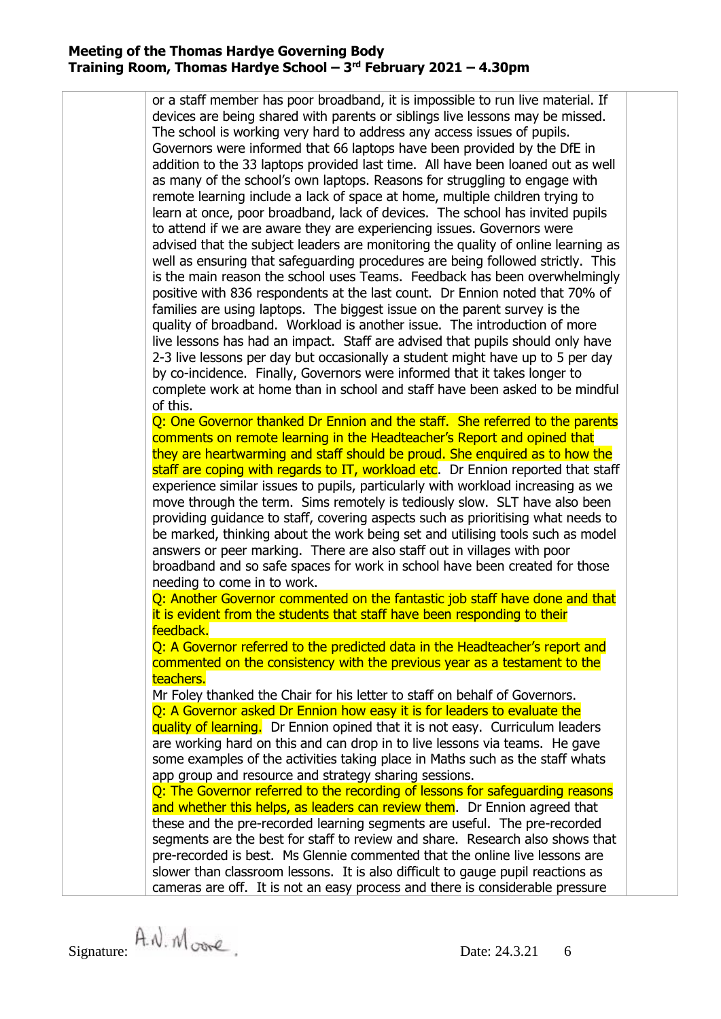or a staff member has poor broadband, it is impossible to run live material. If devices are being shared with parents or siblings live lessons may be missed. The school is working very hard to address any access issues of pupils. Governors were informed that 66 laptops have been provided by the DfE in addition to the 33 laptops provided last time. All have been loaned out as well as many of the school's own laptops. Reasons for struggling to engage with remote learning include a lack of space at home, multiple children trying to learn at once, poor broadband, lack of devices. The school has invited pupils to attend if we are aware they are experiencing issues. Governors were advised that the subject leaders are monitoring the quality of online learning as well as ensuring that safeguarding procedures are being followed strictly. This is the main reason the school uses Teams. Feedback has been overwhelmingly positive with 836 respondents at the last count. Dr Ennion noted that 70% of families are using laptops. The biggest issue on the parent survey is the quality of broadband. Workload is another issue. The introduction of more live lessons has had an impact. Staff are advised that pupils should only have 2-3 live lessons per day but occasionally a student might have up to 5 per day by co-incidence. Finally, Governors were informed that it takes longer to complete work at home than in school and staff have been asked to be mindful of this. Q: One Governor thanked Dr Ennion and the staff. She referred to the parents comments on remote learning in the Headteacher's Report and opined that they are heartwarming and staff should be proud. She enquired as to how the staff are coping with regards to IT, workload etc. Dr Ennion reported that staff experience similar issues to pupils, particularly with workload increasing as we move through the term. Sims remotely is tediously slow. SLT have also been providing guidance to staff, covering aspects such as prioritising what needs to be marked, thinking about the work being set and utilising tools such as model answers or peer marking. There are also staff out in villages with poor broadband and so safe spaces for work in school have been created for those needing to come in to work. Q: Another Governor commented on the fantastic job staff have done and that it is evident from the students that staff have been responding to their feedback. Q: A Governor referred to the predicted data in the Headteacher's report and commented on the consistency with the previous year as a testament to the teachers. Mr Foley thanked the Chair for his letter to staff on behalf of Governors. Q: A Governor asked Dr Ennion how easy it is for leaders to evaluate the quality of learning. Dr Ennion opined that it is not easy. Curriculum leaders are working hard on this and can drop in to live lessons via teams. He gave some examples of the activities taking place in Maths such as the staff whats app group and resource and strategy sharing sessions. Q: The Governor referred to the recording of lessons for safeguarding reasons and whether this helps, as leaders can review them. Dr Ennion agreed that these and the pre-recorded learning segments are useful. The pre-recorded segments are the best for staff to review and share. Research also shows that pre-recorded is best. Ms Glennie commented that the online live lessons are slower than classroom lessons. It is also difficult to gauge pupil reactions as cameras are off. It is not an easy process and there is considerable pressure

Signature:  $A \mathcal{N}$ .  $M \circ \mathcal{N}$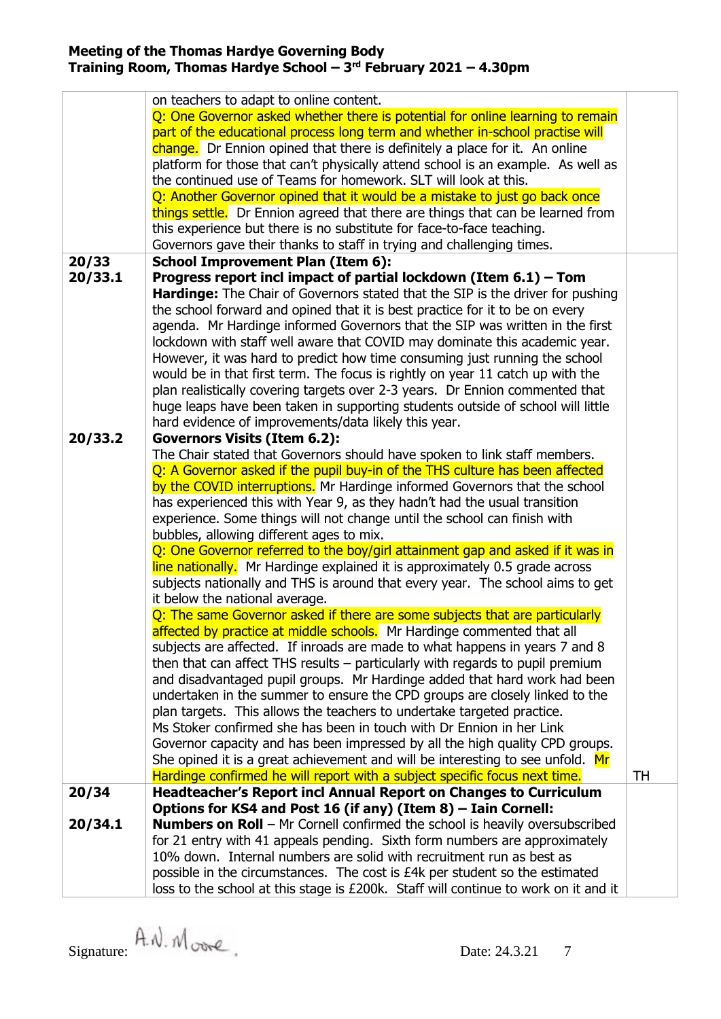|         | on teachers to adapt to online content.                                                                                                                  |    |  |  |  |
|---------|----------------------------------------------------------------------------------------------------------------------------------------------------------|----|--|--|--|
|         | Q: One Governor asked whether there is potential for online learning to remain                                                                           |    |  |  |  |
|         | part of the educational process long term and whether in-school practise will                                                                            |    |  |  |  |
|         | change. Dr Ennion opined that there is definitely a place for it. An online                                                                              |    |  |  |  |
|         | platform for those that can't physically attend school is an example. As well as                                                                         |    |  |  |  |
|         | the continued use of Teams for homework. SLT will look at this.                                                                                          |    |  |  |  |
|         | Q: Another Governor opined that it would be a mistake to just go back once                                                                               |    |  |  |  |
|         | things settle. Dr Ennion agreed that there are things that can be learned from                                                                           |    |  |  |  |
|         | this experience but there is no substitute for face-to-face teaching.                                                                                    |    |  |  |  |
|         | Governors gave their thanks to staff in trying and challenging times.                                                                                    |    |  |  |  |
| 20/33   | <b>School Improvement Plan (Item 6):</b>                                                                                                                 |    |  |  |  |
| 20/33.1 | Progress report incl impact of partial lockdown (Item $6.1$ ) – Tom                                                                                      |    |  |  |  |
|         | <b>Hardinge:</b> The Chair of Governors stated that the SIP is the driver for pushing                                                                    |    |  |  |  |
|         | the school forward and opined that it is best practice for it to be on every                                                                             |    |  |  |  |
|         | agenda. Mr Hardinge informed Governors that the SIP was written in the first                                                                             |    |  |  |  |
|         | lockdown with staff well aware that COVID may dominate this academic year.                                                                               |    |  |  |  |
|         | However, it was hard to predict how time consuming just running the school                                                                               |    |  |  |  |
|         | would be in that first term. The focus is rightly on year 11 catch up with the                                                                           |    |  |  |  |
|         | plan realistically covering targets over 2-3 years. Dr Ennion commented that                                                                             |    |  |  |  |
|         | huge leaps have been taken in supporting students outside of school will little                                                                          |    |  |  |  |
|         | hard evidence of improvements/data likely this year.                                                                                                     |    |  |  |  |
| 20/33.2 | <b>Governors Visits (Item 6.2):</b>                                                                                                                      |    |  |  |  |
|         | The Chair stated that Governors should have spoken to link staff members.                                                                                |    |  |  |  |
|         | Q: A Governor asked if the pupil buy-in of the THS culture has been affected                                                                             |    |  |  |  |
|         | by the COVID interruptions. Mr Hardinge informed Governors that the school                                                                               |    |  |  |  |
|         | has experienced this with Year 9, as they hadn't had the usual transition                                                                                |    |  |  |  |
|         | experience. Some things will not change until the school can finish with                                                                                 |    |  |  |  |
|         | bubbles, allowing different ages to mix.                                                                                                                 |    |  |  |  |
|         | Q: One Governor referred to the boy/girl attainment gap and asked if it was in                                                                           |    |  |  |  |
|         | line nationally. Mr Hardinge explained it is approximately 0.5 grade across                                                                              |    |  |  |  |
|         | subjects nationally and THS is around that every year. The school aims to get                                                                            |    |  |  |  |
|         | it below the national average.                                                                                                                           |    |  |  |  |
|         | Q: The same Governor asked if there are some subjects that are particularly                                                                              |    |  |  |  |
|         | affected by practice at middle schools. Mr Hardinge commented that all                                                                                   |    |  |  |  |
|         | subjects are affected. If inroads are made to what happens in years 7 and 8                                                                              |    |  |  |  |
|         | then that can affect THS results $-$ particularly with regards to pupil premium                                                                          |    |  |  |  |
|         | and disadvantaged pupil groups. Mr Hardinge added that hard work had been<br>undertaken in the summer to ensure the CPD groups are closely linked to the |    |  |  |  |
|         | plan targets. This allows the teachers to undertake targeted practice.                                                                                   |    |  |  |  |
|         | Ms Stoker confirmed she has been in touch with Dr Ennion in her Link                                                                                     |    |  |  |  |
|         | Governor capacity and has been impressed by all the high quality CPD groups.                                                                             |    |  |  |  |
|         | She opined it is a great achievement and will be interesting to see unfold. Mr                                                                           |    |  |  |  |
|         | Hardinge confirmed he will report with a subject specific focus next time.                                                                               | TH |  |  |  |
| 20/34   | <b>Headteacher's Report incl Annual Report on Changes to Curriculum</b>                                                                                  |    |  |  |  |
|         | Options for KS4 and Post 16 (if any) (Item 8) - Iain Cornell:                                                                                            |    |  |  |  |
| 20/34.1 | <b>Numbers on Roll</b> – Mr Cornell confirmed the school is heavily oversubscribed                                                                       |    |  |  |  |
|         | for 21 entry with 41 appeals pending. Sixth form numbers are approximately                                                                               |    |  |  |  |
|         | 10% down. Internal numbers are solid with recruitment run as best as                                                                                     |    |  |  |  |
|         | possible in the circumstances. The cost is £4k per student so the estimated                                                                              |    |  |  |  |
|         | loss to the school at this stage is £200k. Staff will continue to work on it and it                                                                      |    |  |  |  |
|         |                                                                                                                                                          |    |  |  |  |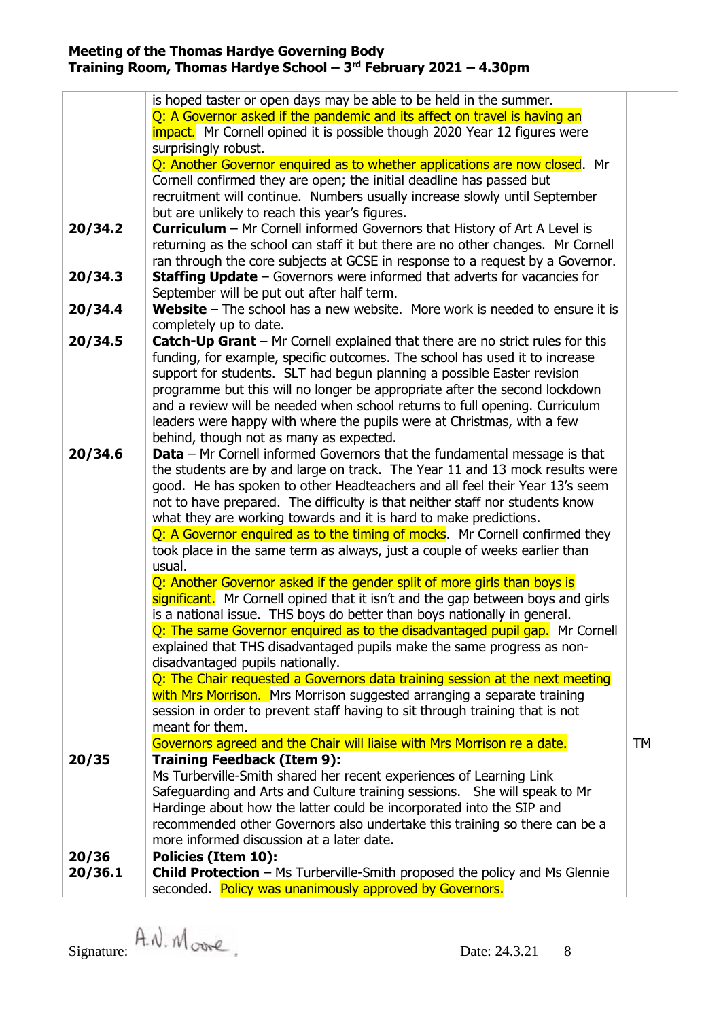| 20/34.2<br>20/34.3<br>20/34.4<br>20/34.5 | is hoped taster or open days may be able to be held in the summer.<br>Q: A Governor asked if the pandemic and its affect on travel is having an<br><b>impact.</b> Mr Cornell opined it is possible though 2020 Year 12 figures were<br>surprisingly robust.<br>Q: Another Governor enquired as to whether applications are now closed. Mr<br>Cornell confirmed they are open; the initial deadline has passed but<br>recruitment will continue. Numbers usually increase slowly until September<br>but are unlikely to reach this year's figures.<br><b>Curriculum</b> - Mr Cornell informed Governors that History of Art A Level is<br>returning as the school can staff it but there are no other changes. Mr Cornell<br>ran through the core subjects at GCSE in response to a request by a Governor.<br><b>Staffing Update</b> $-$ Governors were informed that adverts for vacancies for<br>September will be put out after half term.<br><b>Website</b> – The school has a new website. More work is needed to ensure it is<br>completely up to date.<br><b>Catch-Up Grant</b> – Mr Cornell explained that there are no strict rules for this                                                                                                                              |           |
|------------------------------------------|-----------------------------------------------------------------------------------------------------------------------------------------------------------------------------------------------------------------------------------------------------------------------------------------------------------------------------------------------------------------------------------------------------------------------------------------------------------------------------------------------------------------------------------------------------------------------------------------------------------------------------------------------------------------------------------------------------------------------------------------------------------------------------------------------------------------------------------------------------------------------------------------------------------------------------------------------------------------------------------------------------------------------------------------------------------------------------------------------------------------------------------------------------------------------------------------------------------------------------------------------------------------------------------|-----------|
|                                          | funding, for example, specific outcomes. The school has used it to increase<br>support for students. SLT had begun planning a possible Easter revision<br>programme but this will no longer be appropriate after the second lockdown<br>and a review will be needed when school returns to full opening. Curriculum<br>leaders were happy with where the pupils were at Christmas, with a few<br>behind, though not as many as expected.                                                                                                                                                                                                                                                                                                                                                                                                                                                                                                                                                                                                                                                                                                                                                                                                                                          |           |
| 20/34.6                                  | <b>Data</b> – Mr Cornell informed Governors that the fundamental message is that<br>the students are by and large on track. The Year 11 and 13 mock results were<br>good. He has spoken to other Headteachers and all feel their Year 13's seem<br>not to have prepared. The difficulty is that neither staff nor students know<br>what they are working towards and it is hard to make predictions.<br>Q: A Governor enquired as to the timing of mocks. Mr Cornell confirmed they<br>took place in the same term as always, just a couple of weeks earlier than<br>usual.<br>Q: Another Governor asked if the gender split of more girls than boys is<br>significant. Mr Cornell opined that it isn't and the gap between boys and girls<br>is a national issue. THS boys do better than boys nationally in general.<br>Q: The same Governor enquired as to the disadvantaged pupil gap. Mr Cornell<br>explained that THS disadvantaged pupils make the same progress as non-<br>disadvantaged pupils nationally.<br>Q: The Chair requested a Governors data training session at the next meeting<br>with Mrs Morrison. Mrs Morrison suggested arranging a separate training<br>session in order to prevent staff having to sit through training that is not<br>meant for them. |           |
| 20/35                                    | Governors agreed and the Chair will liaise with Mrs Morrison re a date.<br><b>Training Feedback (Item 9):</b><br>Ms Turberville-Smith shared her recent experiences of Learning Link                                                                                                                                                                                                                                                                                                                                                                                                                                                                                                                                                                                                                                                                                                                                                                                                                                                                                                                                                                                                                                                                                              | <b>TM</b> |
|                                          | Safeguarding and Arts and Culture training sessions.  She will speak to Mr<br>Hardinge about how the latter could be incorporated into the SIP and<br>recommended other Governors also undertake this training so there can be a<br>more informed discussion at a later date.                                                                                                                                                                                                                                                                                                                                                                                                                                                                                                                                                                                                                                                                                                                                                                                                                                                                                                                                                                                                     |           |
| 20/36<br>20/36.1                         | <b>Policies (Item 10):</b><br><b>Child Protection</b> – Ms Turberville-Smith proposed the policy and Ms Glennie<br>seconded. Policy was unanimously approved by Governors.                                                                                                                                                                                                                                                                                                                                                                                                                                                                                                                                                                                                                                                                                                                                                                                                                                                                                                                                                                                                                                                                                                        |           |